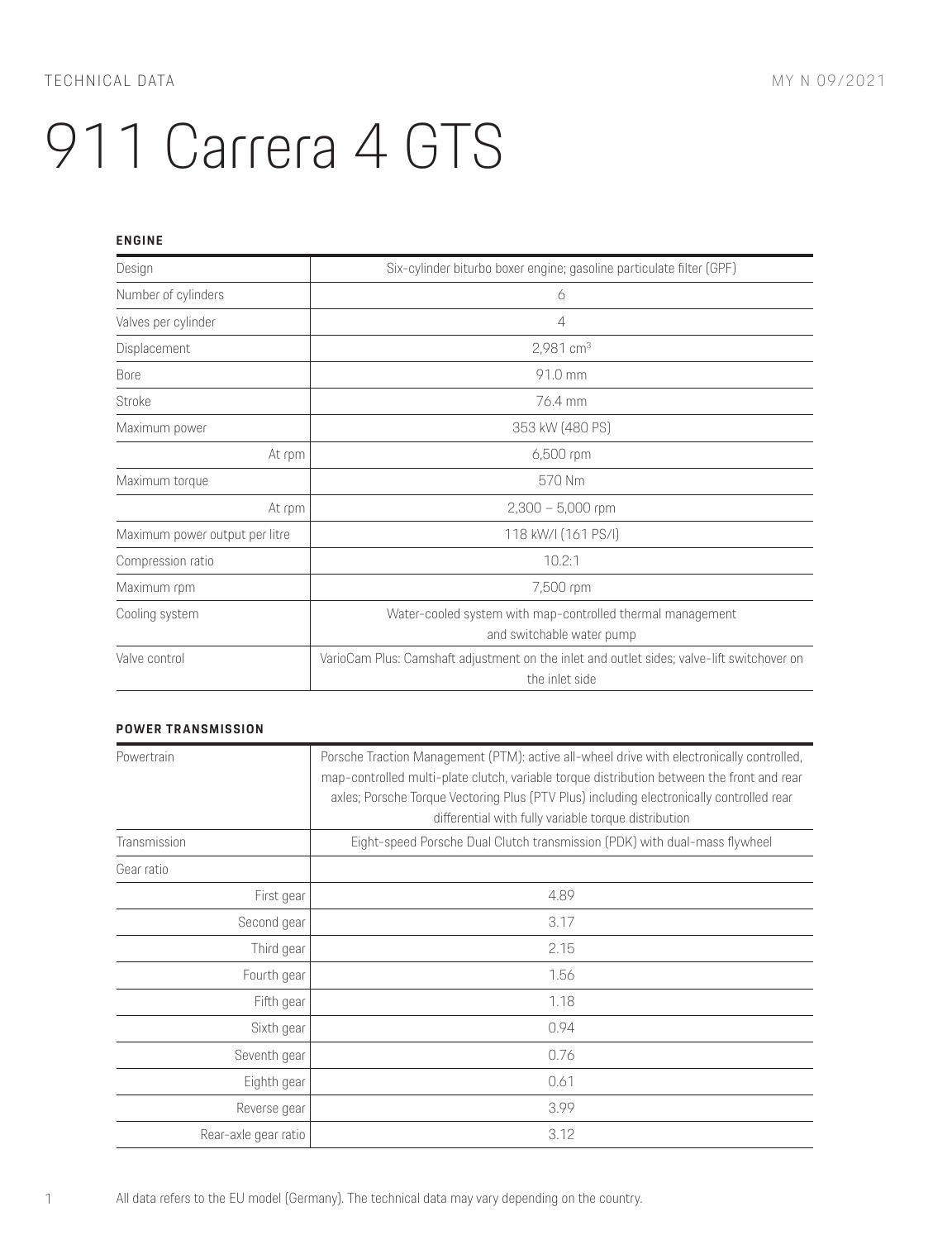### **ENGINE**

| Design                         | Six-cylinder biturbo boxer engine; gasoline particulate filter (GPF)                                         |
|--------------------------------|--------------------------------------------------------------------------------------------------------------|
| Number of cylinders            | 6                                                                                                            |
| Valves per cylinder            | 4                                                                                                            |
| Displacement                   | 2,981 $cm3$                                                                                                  |
| <b>Bore</b>                    | 91.0 mm                                                                                                      |
| Stroke                         | 76.4 mm                                                                                                      |
| Maximum power                  | 353 kW (480 PS)                                                                                              |
| At rpm                         | 6,500 rpm                                                                                                    |
| Maximum torque                 | 570 Nm                                                                                                       |
| At rpm                         | $2,300 - 5,000$ rpm                                                                                          |
| Maximum power output per litre | 118 kW/I (161 PS/I)                                                                                          |
| Compression ratio              | 10.2:1                                                                                                       |
| Maximum rpm                    | 7,500 rpm                                                                                                    |
| Cooling system                 | Water-cooled system with map-controlled thermal management<br>and switchable water pump                      |
| Valve control                  | VarioCam Plus: Camshaft adjustment on the inlet and outlet sides; valve-lift switchover on<br>the inlet side |

## **POWER TRANSMISSION**

| Powertrain           | Porsche Traction Management (PTM): active all-wheel drive with electronically controlled,<br>map-controlled multi-plate clutch, variable torque distribution between the front and rear<br>axles; Porsche Torque Vectoring Plus (PTV Plus) including electronically controlled rear<br>differential with fully variable torque distribution |
|----------------------|---------------------------------------------------------------------------------------------------------------------------------------------------------------------------------------------------------------------------------------------------------------------------------------------------------------------------------------------|
| Transmission         | Eight-speed Porsche Dual Clutch transmission (PDK) with dual-mass flywheel                                                                                                                                                                                                                                                                  |
| Gear ratio           |                                                                                                                                                                                                                                                                                                                                             |
| First gear           | 4.89                                                                                                                                                                                                                                                                                                                                        |
| Second gear          | 3.17                                                                                                                                                                                                                                                                                                                                        |
| Third gear           | 2.15                                                                                                                                                                                                                                                                                                                                        |
| Fourth gear          | 1.56                                                                                                                                                                                                                                                                                                                                        |
| Fifth gear           | 1.18                                                                                                                                                                                                                                                                                                                                        |
| Sixth gear           | 0.94                                                                                                                                                                                                                                                                                                                                        |
| Seventh gear         | 0.76                                                                                                                                                                                                                                                                                                                                        |
| Eighth gear          | 0.61                                                                                                                                                                                                                                                                                                                                        |
| Reverse gear         | 3.99                                                                                                                                                                                                                                                                                                                                        |
| Rear-axle gear ratio | 3.12                                                                                                                                                                                                                                                                                                                                        |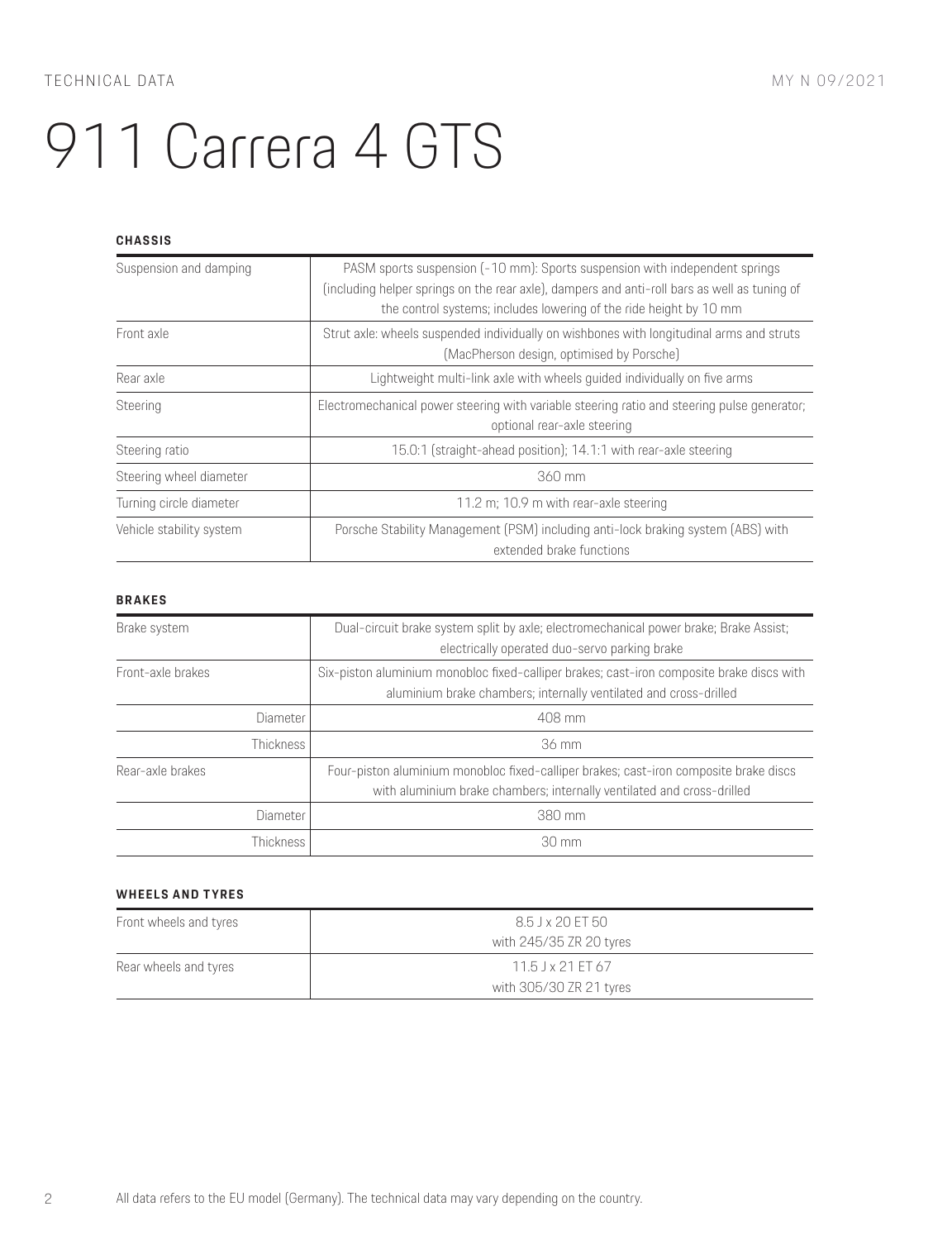### **CHASSIS**

| Suspension and damping   | PASM sports suspension (-10 mm): Sports suspension with independent springs<br>(including helper springs on the rear axle), dampers and anti-roll bars as well as tuning of<br>the control systems; includes lowering of the ride height by 10 mm |
|--------------------------|---------------------------------------------------------------------------------------------------------------------------------------------------------------------------------------------------------------------------------------------------|
| Front axle               | Strut axle: wheels suspended individually on wishbones with longitudinal arms and struts<br>(MacPherson design, optimised by Porsche)                                                                                                             |
| Rear axle                | Lightweight multi-link axle with wheels guided individually on five arms                                                                                                                                                                          |
| Steering                 | Electromechanical power steering with variable steering ratio and steering pulse generator;<br>optional rear-axle steering                                                                                                                        |
| Steering ratio           | 15.0:1 (straight-ahead position); 14.1:1 with rear-axle steering                                                                                                                                                                                  |
| Steering wheel diameter  | $360$ mm                                                                                                                                                                                                                                          |
| Turning circle diameter  | 11.2 m; 10.9 m with rear-axle steering                                                                                                                                                                                                            |
| Vehicle stability system | Porsche Stability Management (PSM) including anti-lock braking system (ABS) with<br>extended brake functions                                                                                                                                      |

### **BRAKES**

| Brake system      | Dual-circuit brake system split by axle; electromechanical power brake; Brake Assist;<br>electrically operated duo-servo parking brake                          |
|-------------------|-----------------------------------------------------------------------------------------------------------------------------------------------------------------|
| Front-axle brakes | Six-piston aluminium monobloc fixed-calliper brakes; cast-iron composite brake discs with<br>aluminium brake chambers; internally ventilated and cross-drilled  |
| Diameter          | 408 mm                                                                                                                                                          |
| Thickness I       | 36 mm                                                                                                                                                           |
| Rear-axle brakes  | Four-piston aluminium monobloc fixed-calliper brakes; cast-iron composite brake discs<br>with aluminium brake chambers; internally ventilated and cross-drilled |
| <b>Diameter</b>   | 380 mm                                                                                                                                                          |
| Thickness I       | $30 \text{ mm}$                                                                                                                                                 |

#### **WHEELS AND TYRES**

| Front wheels and tyres | 8.5 J x 20 FT 50<br>with 245/35 ZR 20 tyres    |
|------------------------|------------------------------------------------|
| Rear wheels and tyres  | $11.5$ J x 21 FT 67<br>with 305/30 ZR 21 tyres |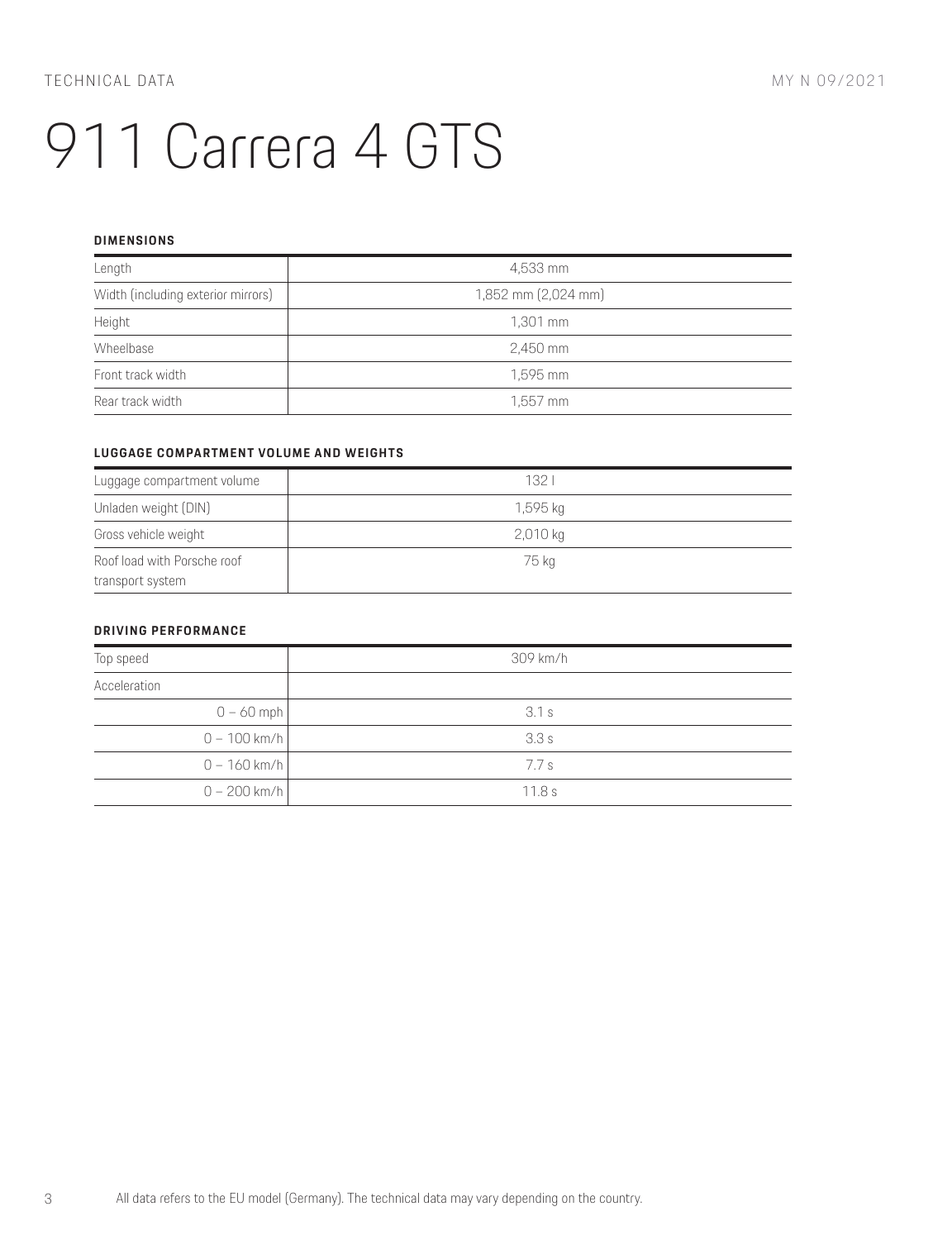#### **DIMENSIONS**

| Length                             | 4,533 mm            |
|------------------------------------|---------------------|
| Width (including exterior mirrors) | 1,852 mm (2,024 mm) |
| Height                             | 1,301 mm            |
| Wheelbase                          | 2,450 mm            |
| Front track width                  | 1,595 mm            |
| Rear track width                   | $1,557$ mm          |

## **LUGGAGE COMPARTMENT VOLUME AND WEIGHTS**

| Luggage compartment volume  | 132      |
|-----------------------------|----------|
| Unladen weight (DIN)        | 1,595 ka |
| Gross vehicle weight        | 2,010 kg |
| Roof load with Porsche roof | 75 kg    |
| transport system            |          |

## **DRIVING PERFORMANCE**

| Top speed      | 309 km/h |
|----------------|----------|
| Acceleration   |          |
| $0 - 60$ mph   | 3.1 s    |
| $0 - 100$ km/h | 3.3s     |
| $0 - 160$ km/h | 7.7 s    |
| 0 – 200 km/h l | 11.8s    |